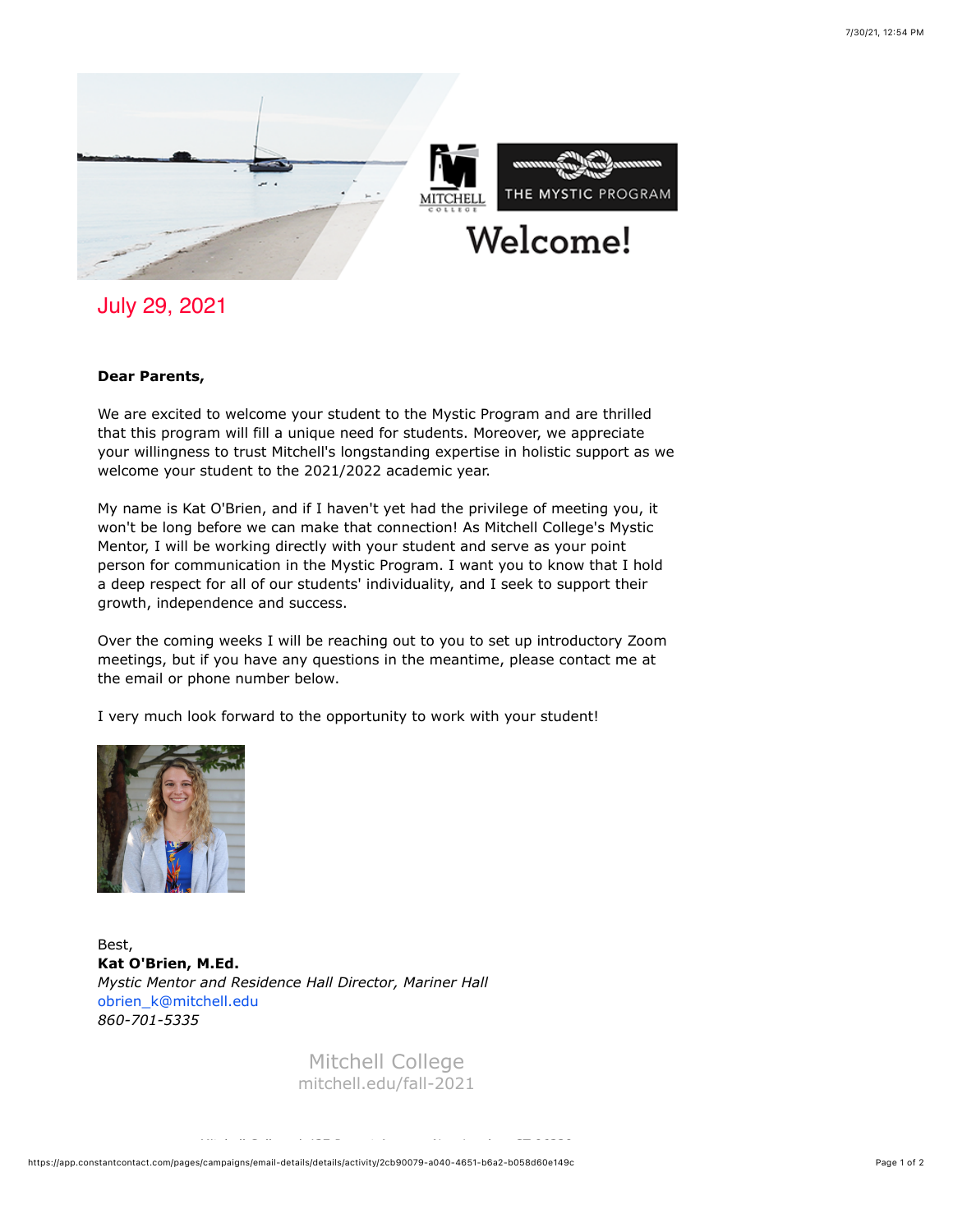

July 29, 2021

## **Dear Parents,**

We are excited to welcome your student to the Mystic Program and are thrilled that this program will fill a unique need for students. Moreover, we appreciate your willingness to trust Mitchell's longstanding expertise in holistic support as we welcome your student to the 2021/2022 academic year.

My name is Kat O'Brien, and if I haven't yet had the privilege of meeting you, it won't be long before we can make that connection! As Mitchell College's Mystic Mentor, I will be working directly with your student and serve as your point person for communication in the Mystic Program. I want you to know that I hold a deep respect for all of our students' individuality, and I seek to support their growth, independence and success.

Over the coming weeks I will be reaching out to you to set up introductory Zoom meetings, but if you have any questions in the meantime, please contact me at the email or phone number below.

I very much look forward to the opportunity to work with your student!



Best, **Kat O'Brien, M.Ed.** *Mystic Mentor and Residence Hall Director, Mariner Hall* obrien\_k@mitchell.edu *860-701-5335*

> Mitchell College [mitchell.edu/fall-2021](https://mitchell.edu/fall-2021)

Mitchell College | 437 Pequot Avenue, New London, CT 06320